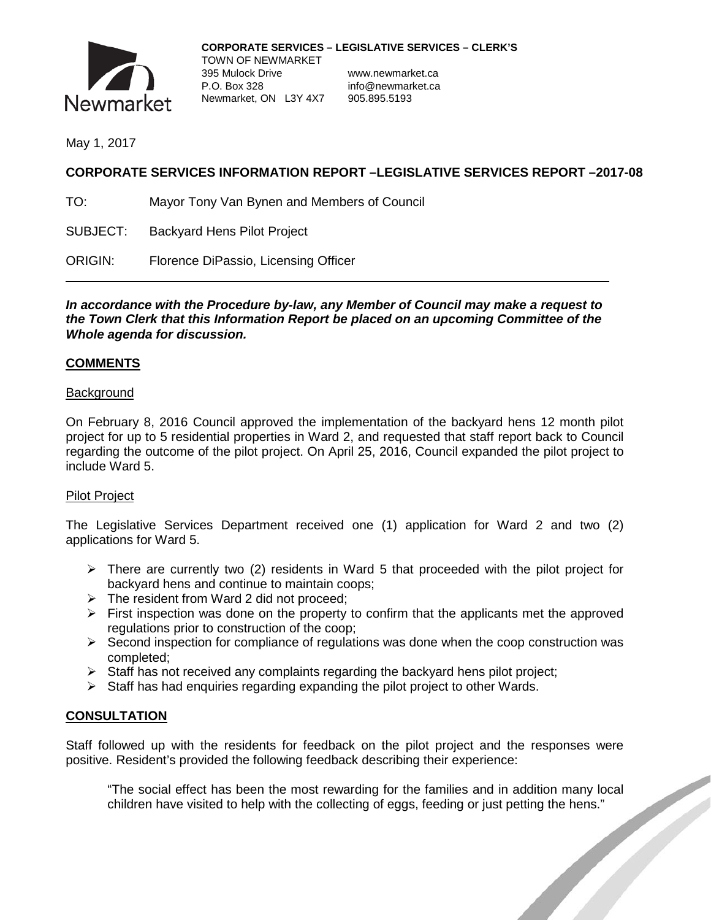

May 1, 2017

# **CORPORATE SERVICES INFORMATION REPORT –LEGISLATIVE SERVICES REPORT –2017-08**

TO: Mayor Tony Van Bynen and Members of Council

SUBJECT: Backyard Hens Pilot Project

ORIGIN: Florence DiPassio, Licensing Officer

*In accordance with the Procedure by-law, any Member of Council may make a request to the Town Clerk that this Information Report be placed on an upcoming Committee of the Whole agenda for discussion.*

### **COMMENTS**

#### **Background**

On February 8, 2016 Council approved the implementation of the backyard hens 12 month pilot project for up to 5 residential properties in Ward 2, and requested that staff report back to Council regarding the outcome of the pilot project. On April 25, 2016, Council expanded the pilot project to include Ward 5.

#### Pilot Project

The Legislative Services Department received one (1) application for Ward 2 and two (2) applications for Ward 5.

- $\triangleright$  There are currently two (2) residents in Ward 5 that proceeded with the pilot project for backyard hens and continue to maintain coops;
- $\triangleright$  The resident from Ward 2 did not proceed;
- $\triangleright$  First inspection was done on the property to confirm that the applicants met the approved regulations prior to construction of the coop;
- $\triangleright$  Second inspection for compliance of regulations was done when the coop construction was completed;
- $\triangleright$  Staff has not received any complaints regarding the backyard hens pilot project;
- $\triangleright$  Staff has had enquiries regarding expanding the pilot project to other Wards.

## **CONSULTATION**

Staff followed up with the residents for feedback on the pilot project and the responses were positive. Resident's provided the following feedback describing their experience:

"The social effect has been the most rewarding for the families and in addition many local children have visited to help with the collecting of eggs, feeding or just petting the hens."